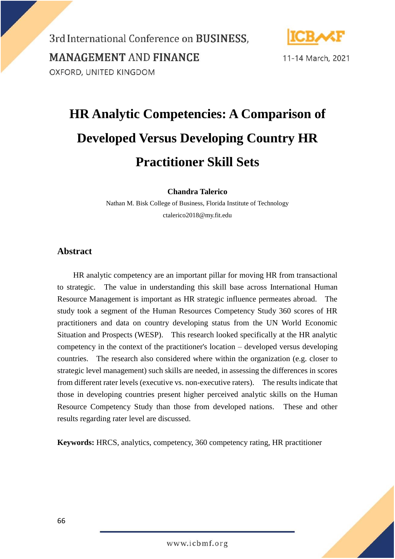

# **HR Analytic Competencies: A Comparison of Developed Versus Developing Country HR Practitioner Skill Sets**

**Chandra Talerico**

Nathan M. Bisk College of Business, Florida Institute of Technology ctalerico2018@my.fit.edu

#### **Abstract**

HR analytic competency are an important pillar for moving HR from transactional to strategic. The value in understanding this skill base across International Human Resource Management is important as HR strategic influence permeates abroad. The study took a segment of the Human Resources Competency Study 360 scores of HR practitioners and data on country developing status from the UN World Economic Situation and Prospects (WESP). This research looked specifically at the HR analytic competency in the context of the practitioner's location – developed versus developing countries. The research also considered where within the organization (e.g. closer to strategic level management) such skills are needed, in assessing the differences in scores from different rater levels (executive vs. non-executive raters). The results indicate that those in developing countries present higher perceived analytic skills on the Human Resource Competency Study than those from developed nations. These and other results regarding rater level are discussed.

**Keywords:** HRCS, analytics, competency, 360 competency rating, HR practitioner

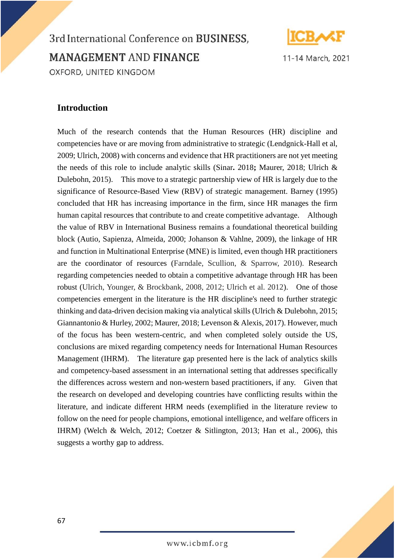

11-14 March, 2021

#### **Introduction**

Much of the research contends that the Human Resources (HR) discipline and competencies have or are moving from administrative to strategic (Lendgnick-Hall et al, 2009; Ulrich, 2008) with concerns and evidence that HR practitioners are not yet meeting the needs of this role to include analytic skills (Sinar**.** 2018**;** Maurer, 2018; Ulrich & Dulebohn, 2015).This move to a strategic partnership view of HR is largely due to the significance of Resource-Based View (RBV) of strategic management. Barney (1995) concluded that HR has increasing importance in the firm, since HR manages the firm human capital resources that contribute to and create competitive advantage. Although the value of RBV in International Business remains a foundational theoretical building block (Autio, Sapienza, Almeida, 2000; Johanson & Vahlne, 2009), the linkage of HR and function in Multinational Enterprise (MNE) is limited, even though HR practitioners are the coordinator of resources (Farndale, Scullion, & Sparrow, 2010). Research regarding competencies needed to obtain a competitive advantage through HR has been robust (Ulrich, Younger, & Brockbank, 2008, 2012; Ulrich et al. 2012). One of those competencies emergent in the literature is the HR discipline's need to further strategic thinking and data-driven decision making via analytical skills (Ulrich & Dulebohn, 2015; Giannantonio & Hurley, 2002; Maurer, 2018; Levenson & Alexis, 2017). However, much of the focus has been western-centric, and when completed solely outside the US, conclusions are mixed regarding competency needs for International Human Resources Management (IHRM). The literature gap presented here is the lack of analytics skills and competency-based assessment in an international setting that addresses specifically the differences across western and non-western based practitioners, if any. Given that the research on developed and developing countries have conflicting results within the literature, and indicate different HRM needs (exemplified in the literature review to follow on the need for people champions, emotional intelligence, and welfare officers in IHRM) (Welch & Welch, 2012; Coetzer & Sitlington, 2013; Han et al., 2006), this suggests a worthy gap to address.

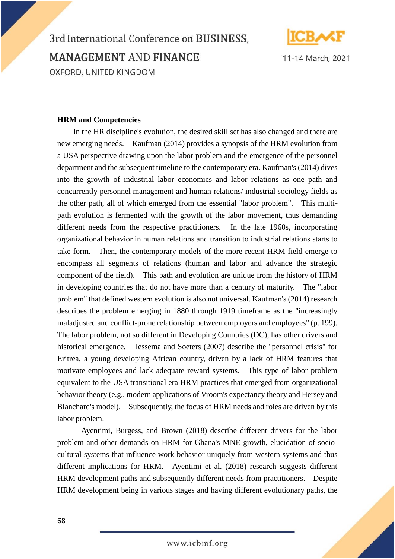

11-14 March, 2021

#### **HRM and Competencies**

In the HR discipline's evolution, the desired skill set has also changed and there are new emerging needs. Kaufman (2014) provides a synopsis of the HRM evolution from a USA perspective drawing upon the labor problem and the emergence of the personnel department and the subsequent timeline to the contemporary era. Kaufman's (2014) dives into the growth of industrial labor economics and labor relations as one path and concurrently personnel management and human relations/ industrial sociology fields as the other path, all of which emerged from the essential "labor problem". This multipath evolution is fermented with the growth of the labor movement, thus demanding different needs from the respective practitioners. In the late 1960s, incorporating organizational behavior in human relations and transition to industrial relations starts to take form. Then, the contemporary models of the more recent HRM field emerge to encompass all segments of relations (human and labor and advance the strategic component of the field). This path and evolution are unique from the history of HRM in developing countries that do not have more than a century of maturity. The "labor problem" that defined western evolution is also not universal. Kaufman's (2014) research describes the problem emerging in 1880 through 1919 timeframe as the "increasingly maladjusted and conflict-prone relationship between employers and employees" (p. 199). The labor problem, not so different in Developing Countries (DC), has other drivers and historical emergence. Tessema and Soeters (2007) describe the "personnel crisis" for Eritrea, a young developing African country, driven by a lack of HRM features that motivate employees and lack adequate reward systems. This type of labor problem equivalent to the USA transitional era HRM practices that emerged from organizational behavior theory (e.g., modern applications of Vroom's expectancy theory and Hersey and Blanchard's model). Subsequently, the focus of HRM needs and roles are driven by this labor problem.

Ayentimi, Burgess, and Brown (2018) describe different drivers for the labor problem and other demands on HRM for Ghana's MNE growth, elucidation of sociocultural systems that influence work behavior uniquely from western systems and thus different implications for HRM. Ayentimi et al. (2018) research suggests different HRM development paths and subsequently different needs from practitioners. Despite HRM development being in various stages and having different evolutionary paths, the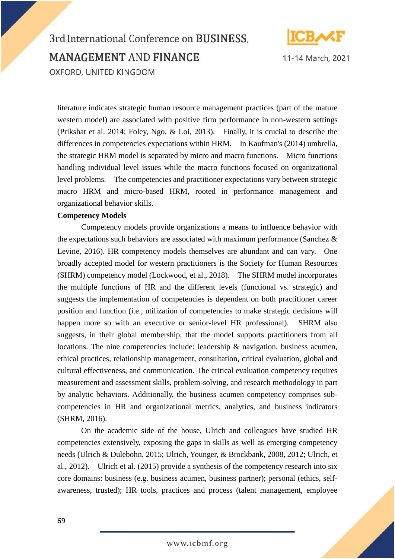



11-14 March, 2021

literature indicates strategic human resource management practices (part of the mature western model) are associated with positive firm performance in non-western settings (Prikshat et al. 2014; Foley, Ngo, & Loi, 2013). Finally, it is crucial to describe the differences in competencies expectations within HRM. In Kaufman's (2014) umbrella, the strategic HRM model is separated by micro and macro functions. Micro functions handling individual level issues while the macro functions focused on organizational level problems. The competencies and practitioner expectations vary between strategic macro HRM and micro-based HRM, rooted in performance management and organizational behavior skills.

#### **Competency Models**

Competency models provide organizations a means to influence behavior with the expectations such behaviors are associated with maximum performance (Sanchez & Levine, 2016). HR competency models themselves are abundant and can vary. One broadly accepted model for western practitioners is the Society for Human Resources (SHRM) competency model (Lockwood, et al., 2018). The SHRM model incorporates the multiple functions of HR and the different levels (functional vs. strategic) and suggests the implementation of competencies is dependent on both practitioner career position and function (i.e., utilization of competencies to make strategic decisions will happen more so with an executive or senior-level HR professional). SHRM also suggests, in their global membership, that the model supports practitioners from all locations. The nine competencies include: leadership & navigation, business acumen, ethical practices, relationship management, consultation, critical evaluation, global and cultural effectiveness, and communication. The critical evaluation competency requires measurement and assessment skills, problem-solving, and research methodology in part by analytic behaviors. Additionally, the business acumen competency comprises subcompetencies in HR and organizational metrics, analytics, and business indicators (SHRM, 2016).

On the academic side of the house, Ulrich and colleagues have studied HR competencies extensively, exposing the gaps in skills as well as emerging competency needs (Ulrich & Dulebohn, 2015; Ulrich, Younger, & Brockbank, 2008, 2012; Ulrich, et al., 2012). Ulrich et al. (2015) provide a synthesis of the competency research into six core domains: business (e.g. business acumen, business partner); personal (ethics, selfawareness, trusted); HR tools, practices and process (talent management, employee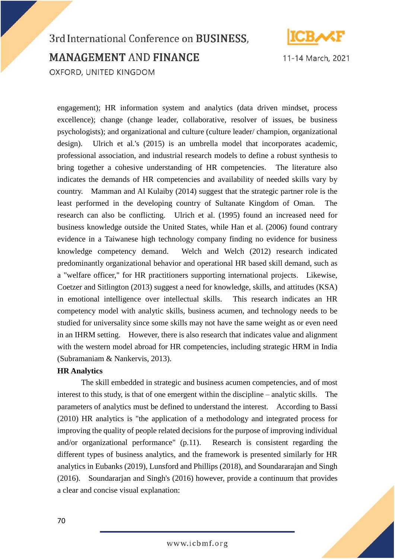

11-14 March, 2021

engagement); HR information system and analytics (data driven mindset, process excellence); change (change leader, collaborative, resolver of issues, be business psychologists); and organizational and culture (culture leader/ champion, organizational design). Ulrich et al.'s (2015) is an umbrella model that incorporates academic, professional association, and industrial research models to define a robust synthesis to bring together a cohesive understanding of HR competencies. The literature also indicates the demands of HR competencies and availability of needed skills vary by country. Mamman and Al Kulaiby (2014) suggest that the strategic partner role is the least performed in the developing country of Sultanate Kingdom of Oman. The research can also be conflicting. Ulrich et al. (1995) found an increased need for business knowledge outside the United States, while Han et al. (2006) found contrary evidence in a Taiwanese high technology company finding no evidence for business knowledge competency demand. Welch and Welch (2012) research indicated predominantly organizational behavior and operational HR based skill demand, such as a "welfare officer," for HR practitioners supporting international projects. Likewise, Coetzer and Sitlington (2013) suggest a need for knowledge, skills, and attitudes (KSA) in emotional intelligence over intellectual skills. This research indicates an HR competency model with analytic skills, business acumen, and technology needs to be studied for universality since some skills may not have the same weight as or even need in an IHRM setting. However, there is also research that indicates value and alignment with the western model abroad for HR competencies, including strategic HRM in India (Subramaniam & Nankervis, 2013).

#### **HR Analytics**

The skill embedded in strategic and business acumen competencies, and of most interest to this study, is that of one emergent within the discipline – analytic skills. The parameters of analytics must be defined to understand the interest. According to Bassi (2010) HR analytics is "the application of a methodology and integrated process for improving the quality of people related decisions for the purpose of improving individual and/or organizational performance" (p.11). Research is consistent regarding the different types of business analytics, and the framework is presented similarly for HR analytics in Eubanks (2019), Lunsford and Phillips (2018), and Soundararajan and Singh (2016). Soundararjan and Singh's (2016) however, provide a continuum that provides a clear and concise visual explanation:

www.icbmf.org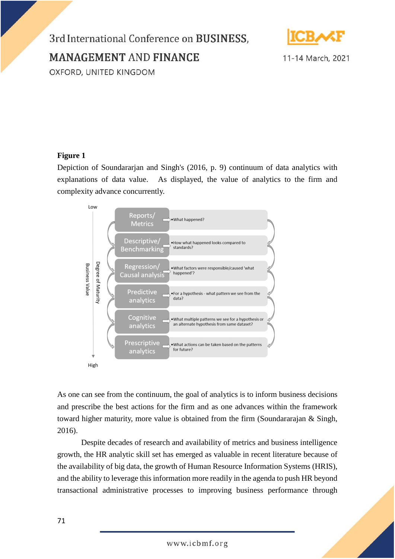

**MANAGEMENT AND FINANCE** 

11-14 March, 2021

OXFORD, UNITED KINGDOM

#### **Figure 1**

Depiction of Soundararjan and Singh's (2016, p. 9) continuum of data analytics with explanations of data value. As displayed, the value of analytics to the firm and complexity advance concurrently.



As one can see from the continuum, the goal of analytics is to inform business decisions and prescribe the best actions for the firm and as one advances within the framework toward higher maturity, more value is obtained from the firm (Soundararajan & Singh, 2016).

Despite decades of research and availability of metrics and business intelligence growth, the HR analytic skill set has emerged as valuable in recent literature because of the availability of big data, the growth of Human Resource Information Systems (HRIS), and the ability to leverage this information more readily in the agenda to push HR beyond transactional administrative processes to improving business performance through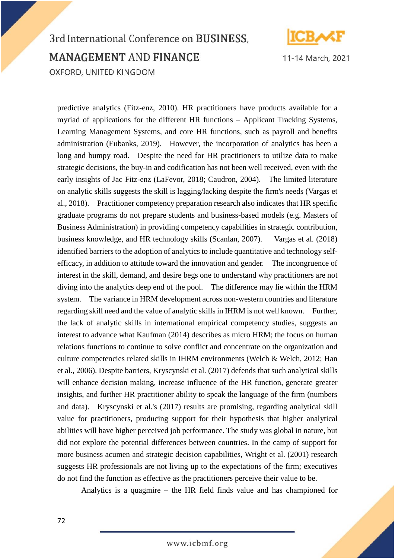

11-14 March, 2021

predictive analytics (Fitz-enz, 2010). HR practitioners have products available for a myriad of applications for the different HR functions – Applicant Tracking Systems, Learning Management Systems, and core HR functions, such as payroll and benefits administration (Eubanks, 2019). However, the incorporation of analytics has been a long and bumpy road. Despite the need for HR practitioners to utilize data to make strategic decisions, the buy-in and codification has not been well received, even with the early insights of Jac Fitz-enz (LaFevor, 2018; Caudron, 2004). The limited literature on analytic skills suggests the skill is lagging/lacking despite the firm's needs (Vargas et al., 2018). Practitioner competency preparation research also indicates that HR specific graduate programs do not prepare students and business-based models (e.g. Masters of Business Administration) in providing competency capabilities in strategic contribution, business knowledge, and HR technology skills (Scanlan, 2007). Vargas et al. (2018) identified barriers to the adoption of analytics to include quantitative and technology selfefficacy, in addition to attitude toward the innovation and gender. The incongruence of interest in the skill, demand, and desire begs one to understand why practitioners are not diving into the analytics deep end of the pool. The difference may lie within the HRM system. The variance in HRM development across non-western countries and literature regarding skill need and the value of analytic skills in IHRM is not well known. Further, the lack of analytic skills in international empirical competency studies, suggests an interest to advance what Kaufman (2014) describes as micro HRM; the focus on human relations functions to continue to solve conflict and concentrate on the organization and culture competencies related skills in IHRM environments (Welch & Welch, 2012; Han et al., 2006). Despite barriers, Kryscynski et al. (2017) defends that such analytical skills will enhance decision making, increase influence of the HR function, generate greater insights, and further HR practitioner ability to speak the language of the firm (numbers and data). Kryscynski et al.'s (2017) results are promising, regarding analytical skill value for practitioners, producing support for their hypothesis that higher analytical abilities will have higher perceived job performance. The study was global in nature, but did not explore the potential differences between countries. In the camp of support for more business acumen and strategic decision capabilities, Wright et al. (2001) research suggests HR professionals are not living up to the expectations of the firm; executives do not find the function as effective as the practitioners perceive their value to be.

Analytics is a quagmire – the HR field finds value and has championed for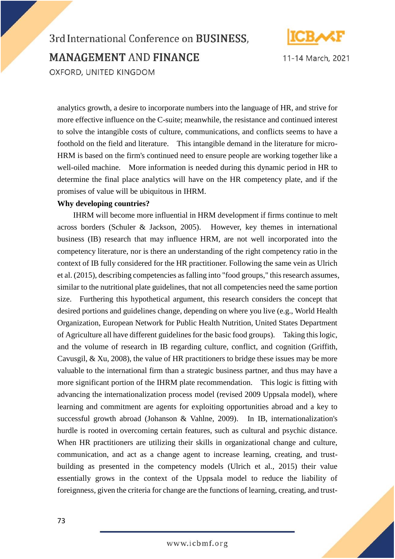

11-14 March, 2021

3rd International Conference on BUSINESS, **MANAGEMENT AND FINANCE** OXFORD, UNITED KINGDOM

analytics growth, a desire to incorporate numbers into the language of HR, and strive for more effective influence on the C-suite; meanwhile, the resistance and continued interest to solve the intangible costs of culture, communications, and conflicts seems to have a foothold on the field and literature. This intangible demand in the literature for micro-HRM is based on the firm's continued need to ensure people are working together like a well-oiled machine. More information is needed during this dynamic period in HR to determine the final place analytics will have on the HR competency plate, and if the promises of value will be ubiquitous in IHRM.

#### **Why developing countries?**

IHRM will become more influential in HRM development if firms continue to melt across borders (Schuler & Jackson, 2005). However, key themes in international business (IB) research that may influence HRM, are not well incorporated into the competency literature, nor is there an understanding of the right competency ratio in the context of IB fully considered for the HR practitioner. Following the same vein as Ulrich et al. (2015), describing competencies as falling into "food groups," this research assumes, similar to the nutritional plate guidelines, that not all competencies need the same portion size. Furthering this hypothetical argument, this research considers the concept that desired portions and guidelines change, depending on where you live (e.g., World Health Organization, European Network for Public Health Nutrition, United States Department of Agriculture all have different guidelines for the basic food groups). Taking this logic, and the volume of research in IB regarding culture, conflict, and cognition (Griffith, Cavusgil, & Xu, 2008), the value of HR practitioners to bridge these issues may be more valuable to the international firm than a strategic business partner, and thus may have a more significant portion of the IHRM plate recommendation. This logic is fitting with advancing the internationalization process model (revised 2009 Uppsala model), where learning and commitment are agents for exploiting opportunities abroad and a key to successful growth abroad (Johanson & Vahlne, 2009). In IB, internationalization's hurdle is rooted in overcoming certain features, such as cultural and psychic distance. When HR practitioners are utilizing their skills in organizational change and culture, communication, and act as a change agent to increase learning, creating, and trustbuilding as presented in the competency models (Ulrich et al., 2015) their value essentially grows in the context of the Uppsala model to reduce the liability of foreignness, given the criteria for change are the functions of learning, creating, and trust-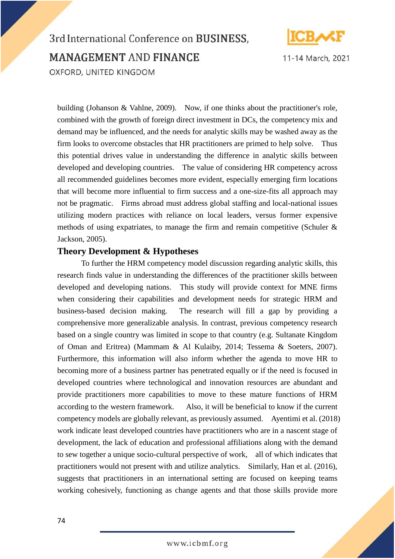

11-14 March, 2021

building (Johanson & Vahlne, 2009). Now, if one thinks about the practitioner's role, combined with the growth of foreign direct investment in DCs, the competency mix and demand may be influenced, and the needs for analytic skills may be washed away as the firm looks to overcome obstacles that HR practitioners are primed to help solve. Thus this potential drives value in understanding the difference in analytic skills between developed and developing countries. The value of considering HR competency across all recommended guidelines becomes more evident, especially emerging firm locations that will become more influential to firm success and a one-size-fits all approach may not be pragmatic. Firms abroad must address global staffing and local-national issues utilizing modern practices with reliance on local leaders, versus former expensive methods of using expatriates, to manage the firm and remain competitive (Schuler & Jackson, 2005).

#### **Theory Development & Hypotheses**

To further the HRM competency model discussion regarding analytic skills, this research finds value in understanding the differences of the practitioner skills between developed and developing nations. This study will provide context for MNE firms when considering their capabilities and development needs for strategic HRM and business-based decision making. The research will fill a gap by providing a comprehensive more generalizable analysis. In contrast, previous competency research based on a single country was limited in scope to that country (e.g. Sultanate Kingdom of Oman and Eritrea) (Mammam & Al Kulaiby, 2014; Tessema & Soeters, 2007). Furthermore, this information will also inform whether the agenda to move HR to becoming more of a business partner has penetrated equally or if the need is focused in developed countries where technological and innovation resources are abundant and provide practitioners more capabilities to move to these mature functions of HRM according to the western framework. Also, it will be beneficial to know if the current competency models are globally relevant, as previously assumed. Ayentimi et al. (2018) work indicate least developed countries have practitioners who are in a nascent stage of development, the lack of education and professional affiliations along with the demand to sew together a unique socio-cultural perspective of work, all of which indicates that practitioners would not present with and utilize analytics. Similarly, Han et al. (2016), suggests that practitioners in an international setting are focused on keeping teams working cohesively, functioning as change agents and that those skills provide more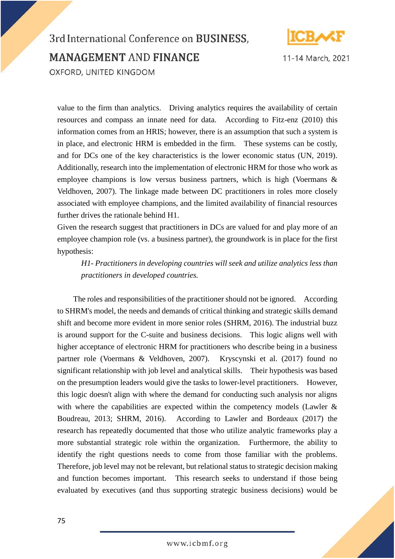

11-14 March, 2021

3rd International Conference on BUSINESS, **MANAGEMENT AND FINANCE** OXFORD, UNITED KINGDOM

value to the firm than analytics. Driving analytics requires the availability of certain resources and compass an innate need for data. According to Fitz-enz (2010) this information comes from an HRIS; however, there is an assumption that such a system is in place, and electronic HRM is embedded in the firm. These systems can be costly, and for DCs one of the key characteristics is the lower economic status (UN, 2019). Additionally, research into the implementation of electronic HRM for those who work as employee champions is low versus business partners, which is high (Voermans & Veldhoven, 2007). The linkage made between DC practitioners in roles more closely associated with employee champions, and the limited availability of financial resources further drives the rationale behind H1.

Given the research suggest that practitioners in DCs are valued for and play more of an employee champion role (vs. a business partner), the groundwork is in place for the first hypothesis:

*H1- Practitioners in developing countries will seek and utilize analytics less than practitioners in developed countries.*

The roles and responsibilities of the practitioner should not be ignored. According to SHRM's model, the needs and demands of critical thinking and strategic skills demand shift and become more evident in more senior roles (SHRM, 2016). The industrial buzz is around support for the C-suite and business decisions. This logic aligns well with higher acceptance of electronic HRM for practitioners who describe being in a business partner role (Voermans & Veldhoven, 2007). Kryscynski et al. (2017) found no significant relationship with job level and analytical skills. Their hypothesis was based on the presumption leaders would give the tasks to lower-level practitioners. However, this logic doesn't align with where the demand for conducting such analysis nor aligns with where the capabilities are expected within the competency models (Lawler & Boudreau, 2013; SHRM, 2016). According to Lawler and Bordeaux (2017) the research has repeatedly documented that those who utilize analytic frameworks play a more substantial strategic role within the organization. Furthermore, the ability to identify the right questions needs to come from those familiar with the problems. Therefore, job level may not be relevant, but relational status to strategic decision making and function becomes important. This research seeks to understand if those being evaluated by executives (and thus supporting strategic business decisions) would be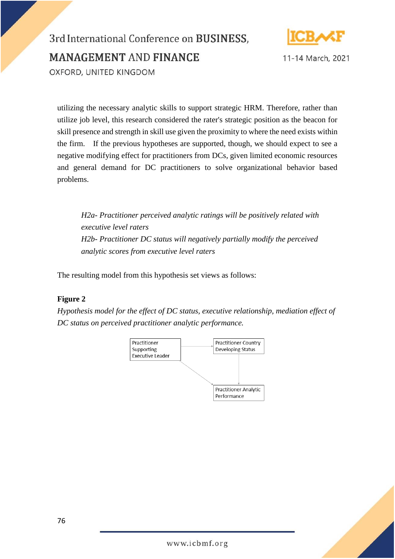

11-14 March, 2021

utilizing the necessary analytic skills to support strategic HRM. Therefore, rather than utilize job level, this research considered the rater's strategic position as the beacon for skill presence and strength in skill use given the proximity to where the need exists within the firm. If the previous hypotheses are supported, though, we should expect to see a negative modifying effect for practitioners from DCs, given limited economic resources and general demand for DC practitioners to solve organizational behavior based problems.

*H2a- Practitioner perceived analytic ratings will be positively related with executive level raters H2b- Practitioner DC status will negatively partially modify the perceived analytic scores from executive level raters*

The resulting model from this hypothesis set views as follows:

#### **Figure 2**

*Hypothesis model for the effect of DC status, executive relationship, mediation effect of DC status on perceived practitioner analytic performance.*



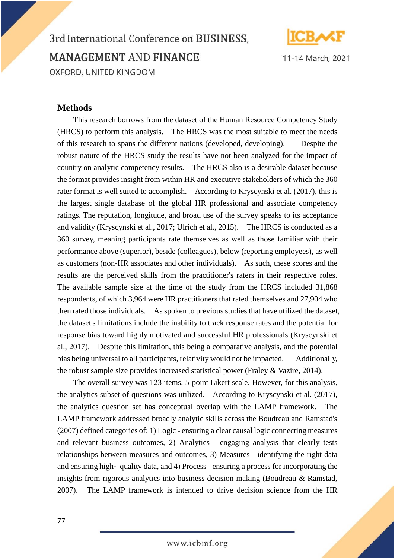

11-14 March, 2021

#### **Methods**

This research borrows from the dataset of the Human Resource Competency Study (HRCS) to perform this analysis. The HRCS was the most suitable to meet the needs of this research to spans the different nations (developed, developing). Despite the robust nature of the HRCS study the results have not been analyzed for the impact of country on analytic competency results. The HRCS also is a desirable dataset because the format provides insight from within HR and executive stakeholders of which the 360 rater format is well suited to accomplish. According to Kryscynski et al. (2017), this is the largest single database of the global HR professional and associate competency ratings. The reputation, longitude, and broad use of the survey speaks to its acceptance and validity (Kryscynski et al., 2017; Ulrich et al., 2015). The HRCS is conducted as a 360 survey, meaning participants rate themselves as well as those familiar with their performance above (superior), beside (colleagues), below (reporting employees), as well as customers (non-HR associates and other individuals). As such, these scores and the results are the perceived skills from the practitioner's raters in their respective roles. The available sample size at the time of the study from the HRCS included 31,868 respondents, of which 3,964 were HR practitioners that rated themselves and 27,904 who then rated those individuals. As spoken to previous studies that have utilized the dataset, the dataset's limitations include the inability to track response rates and the potential for response bias toward highly motivated and successful HR professionals (Kryscynski et al., 2017). Despite this limitation, this being a comparative analysis, and the potential bias being universal to all participants, relativity would not be impacted. Additionally, the robust sample size provides increased statistical power (Fraley & Vazire, 2014).

The overall survey was 123 items, 5-point Likert scale. However, for this analysis, the analytics subset of questions was utilized. According to Kryscynski et al. (2017), the analytics question set has conceptual overlap with the LAMP framework. The LAMP framework addressed broadly analytic skills across the Boudreau and Ramstad's (2007) defined categories of: 1) Logic - ensuring a clear causal logic connecting measures and relevant business outcomes, 2) Analytics - engaging analysis that clearly tests relationships between measures and outcomes, 3) Measures - identifying the right data and ensuring high‐ quality data, and 4) Process - ensuring a process for incorporating the insights from rigorous analytics into business decision making (Boudreau & Ramstad, 2007). The LAMP framework is intended to drive decision science from the HR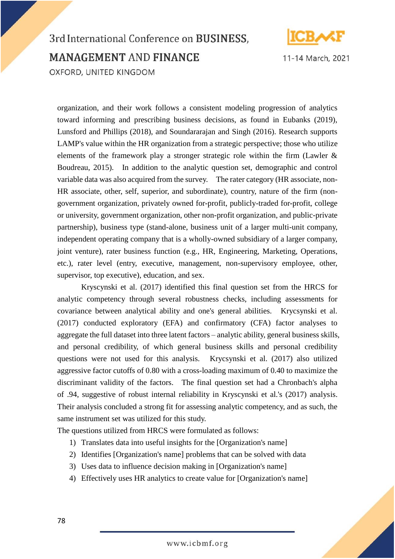

11-14 March, 2021

3rd International Conference on BUSINESS, **MANAGEMENT AND FINANCE** OXFORD, UNITED KINGDOM

organization, and their work follows a consistent modeling progression of analytics toward informing and prescribing business decisions, as found in Eubanks (2019), Lunsford and Phillips (2018), and Soundararajan and Singh (2016). Research supports LAMP's value within the HR organization from a strategic perspective; those who utilize elements of the framework play a stronger strategic role within the firm (Lawler & Boudreau, 2015). In addition to the analytic question set, demographic and control variable data was also acquired from the survey. The rater category (HR associate, non-HR associate, other, self, superior, and subordinate), country, nature of the firm (nongovernment organization, privately owned for-profit, publicly-traded for-profit, college or university, government organization, other non-profit organization, and public-private partnership), business type (stand-alone, business unit of a larger multi-unit company, independent operating company that is a wholly-owned subsidiary of a larger company, joint venture), rater business function (e.g., HR, Engineering, Marketing, Operations, etc.), rater level (entry, executive, management, non-supervisory employee, other, supervisor, top executive), education, and sex.

Kryscynski et al. (2017) identified this final question set from the HRCS for analytic competency through several robustness checks, including assessments for covariance between analytical ability and one's general abilities. Krycsynski et al. (2017) conducted exploratory (EFA) and confirmatory (CFA) factor analyses to aggregate the full dataset into three latent factors – analytic ability, general business skills, and personal credibility, of which general business skills and personal credibility questions were not used for this analysis. Krycsynski et al. (2017) also utilized aggressive factor cutoffs of 0.80 with a cross-loading maximum of 0.40 to maximize the discriminant validity of the factors. The final question set had a Chronbach's alpha of .94, suggestive of robust internal reliability in Kryscynski et al.'s (2017) analysis. Their analysis concluded a strong fit for assessing analytic competency, and as such, the same instrument set was utilized for this study.

The questions utilized from HRCS were formulated as follows:

- 1) Translates data into useful insights for the [Organization's name]
- 2) Identifies [Organization's name] problems that can be solved with data
- 3) Uses data to influence decision making in [Organization's name]
- 4) Effectively uses HR analytics to create value for [Organization's name]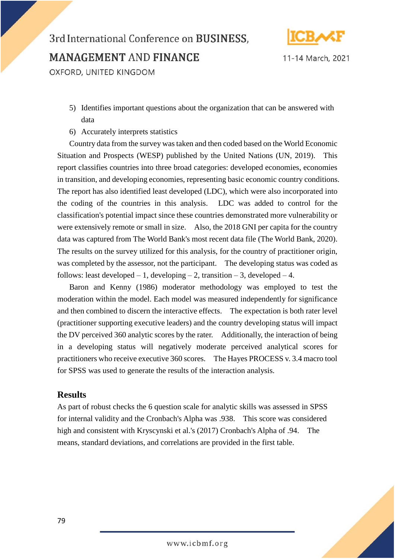# 3rd International Conference on BUSINESS, **MANAGEMENT AND FINANCE**



11-14 March, 2021

OXFORD, UNITED KINGDOM

- 5) Identifies important questions about the organization that can be answered with data
- 6) Accurately interprets statistics

Country data from the survey was taken and then coded based on the World Economic Situation and Prospects (WESP) published by the United Nations (UN, 2019). This report classifies countries into three broad categories: developed economies, economies in transition, and developing economies, representing basic economic country conditions. The report has also identified least developed (LDC), which were also incorporated into the coding of the countries in this analysis. LDC was added to control for the classification's potential impact since these countries demonstrated more vulnerability or were extensively remote or small in size. Also, the 2018 GNI per capita for the country data was captured from The World Bank's most recent data file (The World Bank, 2020). The results on the survey utilized for this analysis, for the country of practitioner origin, was completed by the assessor, not the participant. The developing status was coded as follows: least developed  $-1$ , developing  $-2$ , transition  $-3$ , developed  $-4$ .

Baron and Kenny (1986) moderator methodology was employed to test the moderation within the model. Each model was measured independently for significance and then combined to discern the interactive effects. The expectation is both rater level (practitioner supporting executive leaders) and the country developing status will impact the DV perceived 360 analytic scores by the rater. Additionally, the interaction of being in a developing status will negatively moderate perceived analytical scores for practitioners who receive executive 360 scores. The Hayes PROCESS v. 3.4 macro tool for SPSS was used to generate the results of the interaction analysis.

#### **Results**

As part of robust checks the 6 question scale for analytic skills was assessed in SPSS for internal validity and the Cronbach's Alpha was .938. This score was considered high and consistent with Kryscynski et al.'s (2017) Cronbach's Alpha of .94. The means, standard deviations, and correlations are provided in the first table.

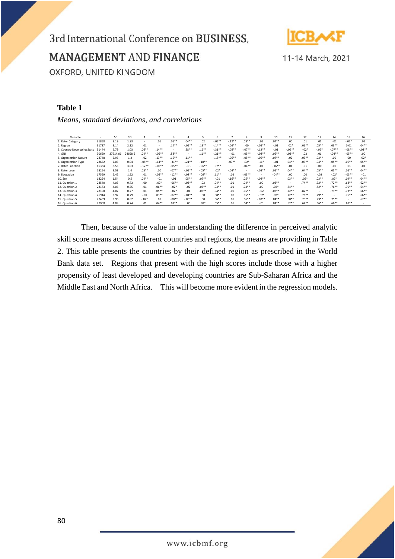

**MANAGEMENT AND FINANCE** 

11-14 March, 2021

OXFORD, UNITED KINGDOM

#### **Table 1**

*Means, standard deviations, and correlations*

| Variable                    | n     | М        | SD      |           |           | э         |          |          | 6        |           | 8         |           | 10                       | 11      | 12       | 13       | 14        | 15       | 16       |
|-----------------------------|-------|----------|---------|-----------|-----------|-----------|----------|----------|----------|-----------|-----------|-----------|--------------------------|---------|----------|----------|-----------|----------|----------|
| 1. Rater Category           | 31868 | 3.19     | 1.83    |           | .01       | $.06**$   | $04**$   | .02      | $-.05**$ | $-12**$   | $.03**$   | .01       | $.04**$                  | .00     | 01       | .01      | $-.01$    | $-.02*$  | .01      |
| 2. Region                   | 31737 | 3.14     | 2.12    | .01       | $\sim$    | $.14**$   | $-05**$  | $.13***$ | $-14**$  | $-0.06**$ | .00       | $-.05***$ | $-.01$                   | $.02*$  | $.06***$ | $.05***$ | $.03**$   | 0.01     | $.04**$  |
| 3. Country Developing Statu | 31444 | 2.79     | 1.03    | $.06**$   | $.14**$   |           | $.58**$  | $.16***$ | $-31**$  | $-05**$   | $-07**$   | $-.12**$  | $-.01$                   | $-06**$ | $-.02*$  | $-.02*$  | $-07**$   | $-08**$  | $-03**$  |
| 4. GNI                      | 30669 | 37914.06 | 24698.5 | $.04***$  | $-.05***$ | $.58**$   |          | $.11***$ | $-.21**$ | $-.01$    | $-0.05**$ | $-.08**$  | $.05**$                  | $-03**$ | .02      | .01      | $-0.04**$ | $-05***$ | .00      |
| 5. Organization Nature      | 28748 | 2.96     | 1.2     | .02       | $.13***$  | $.16***$  | $.11***$ |          | $-18**$  | $-0.06**$ | $-05**$   | $-06***$  | $.07**$                  | .02     | $.03***$ | $.03**$  | .00       | .00.     | $.02*$   |
| 6. Organization Type        | 28652 | 2.03     | 0.94    | $-.05***$ | $-14**$   | $-31**$   | $-21**$  | $-18**$  | ٠        | $.07**$   | $.02*$    | $.11*$    | $-.01$                   | $.04**$ | $.03**$  | $.04**$  | $.05**$   | $.06***$ | $.05***$ |
| 7. Rater Function           | 16384 | 8.55     | 3.03    | $-12**$   | $-06**$   | $-0.05**$ | $-.01$   | $-06**$  | $.07**$  |           | $-0.04**$ | .02       | $-16***$                 | .01     | .01      | .00      | .00.      | .01      | .01      |
| 8. Rater Level              | 18264 | 3.53     | 1.4     | $.03***$  | .00       | $-07**$   | $-05**$  | $-.05**$ | $.02*$   | $-0.04**$ |           | $-03**$   | $.05**$                  | $.04**$ | $.04**$  | $.05***$ | $.05**$   | $.06***$ | $.04**$  |
| 9. Education                | 17569 | 6.42     | 1.52    | .01       | $-05**$   | $-12**$   | $-08**$  | $-06**$  | $.11**$  | .02       | $-03**$   |           | $-.04**$                 | .00     | .00      | $-.02$   | $-.02*$   | $-03**$  | $-.01$   |
| 10. Sex                     | 18294 | 1.54     | 0.5     | $.04**$   | $-.01$    | $-.01$    | $.05***$ | $.07**$  | $-.01$   | $-16**$   | $.05**$   | $-.04***$ | $\overline{\phantom{a}}$ | $.03**$ | $.02*$   | $.03**$  | $.02*$    | $.04**$  | $.04**$  |
| 11. Question 1              | 28540 | 4.03     | 0.73    | .00       | $.02*$    | $-06**$   | $-03**$  | .02      | $.04**$  | .01       | $.04**$   | .00       | $.03**$                  |         | $.74**$  | $.72**$  | $.72**$   | $.68**$  | $.62**$  |
| 12. Question 2              | 28173 | 4.06     | 0.75    | .01       | $.06**$   | $-.02*$   | .02      | $.03**$  | $.03**$  | .01       | $.04**$   | .00       | $.02*$                   | $.74**$ |          | $.82**$  | $.76***$  | $.70**$  | $.64***$ |
| 13. Question 3              | 28108 | 4.02     | 0.77    | .01       | $.05***$  | $-.02*$   | .01      | $.03**$  | $.04**$  | .00       | $.05**$   | $-0.02$   | $.03**$                  | $.72**$ | $.82**$  |          | $.79**$   | $.73**$  | $.66***$ |
| 14. Question 4              | 26914 | 3.92     | 0.79    | $-.01$    | $.03**$   | $-07**$   | $-04**$  | .00.     | $.08**$  | .00       | $.05**$   | $-.02*$   | $.02*$                   | $.72**$ | $.76***$ | $.79**$  |           | $.75***$ | $.66***$ |
| 15. Question 5              | 27459 | 3.96     | 0.82    | $-.02*$   | .01       | $-0.08**$ | $-05**$  | .00.     | $.06**$  | .01       | $.06**$   | $-03**$   | $.04**$                  | $.68**$ | $.70**$  | $.73**$  | $.75***$  |          | $.67**$  |
| 16. Question 6              | 27908 | 4.03     | 0.74    | .01       | $.04**$   | $.03**$   | .00      | $.02*$   | $.05***$ | .01       | $.04**$   | $-.01$    | $.04**$                  | $.62**$ | $.64***$ | $.66***$ | $.66***$  | $.67**$  |          |

Then, because of the value in understanding the difference in perceived analytic skill score means across different countries and regions, the means are providing in Table 2. This table presents the countries by their defined region as prescribed in the World Bank data set. Regions that present with the high scores include those with a higher propensity of least developed and developing countries are Sub-Saharan Africa and the Middle East and North Africa. This will become more evident in the regression models.

www.icbmf.org

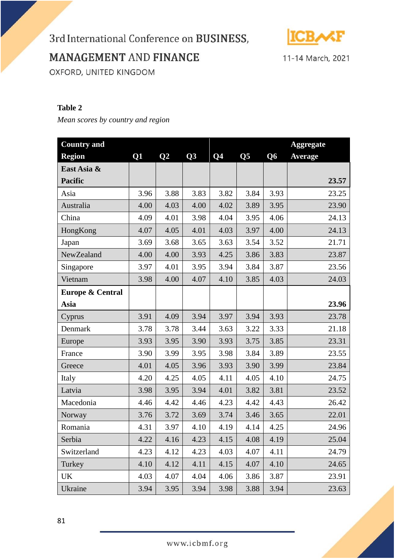

**MANAGEMENT AND FINANCE** 

11-14 March, 2021

OXFORD, UNITED KINGDOM

#### **Table 2**

*Mean scores by country and region*

| <b>Country and</b>          |      |                 |      |                           |                     |                | <b>Aggregate</b> |
|-----------------------------|------|-----------------|------|---------------------------|---------------------|----------------|------------------|
| <b>Region</b>               | Q1   | $\overline{Q2}$ | Q3   | $\overline{\mathbf{Q}}$ 4 | $\overline{\bf Q5}$ | Q <sub>6</sub> | <b>Average</b>   |
| East Asia &                 |      |                 |      |                           |                     |                |                  |
| <b>Pacific</b>              |      |                 |      |                           |                     |                | 23.57            |
| Asia                        | 3.96 | 3.88            | 3.83 | 3.82                      | 3.84                | 3.93           | 23.25            |
| Australia                   | 4.00 | 4.03            | 4.00 | 4.02                      | 3.89                | 3.95           | 23.90            |
| China                       | 4.09 | 4.01            | 3.98 | 4.04                      | 3.95                | 4.06           | 24.13            |
| HongKong                    | 4.07 | 4.05            | 4.01 | 4.03                      | 3.97                | 4.00           | 24.13            |
| Japan                       | 3.69 | 3.68            | 3.65 | 3.63                      | 3.54                | 3.52           | 21.71            |
| NewZealand                  | 4.00 | 4.00            | 3.93 | 4.25                      | 3.86                | 3.83           | 23.87            |
| Singapore                   | 3.97 | 4.01            | 3.95 | 3.94                      | 3.84                | 3.87           | 23.56            |
| Vietnam                     | 3.98 | 4.00            | 4.07 | 4.10                      | 3.85                | 4.03           | 24.03            |
| <b>Europe &amp; Central</b> |      |                 |      |                           |                     |                |                  |
| Asia                        |      |                 |      |                           |                     |                | 23.96            |
| Cyprus                      | 3.91 | 4.09            | 3.94 | 3.97                      | 3.94                | 3.93           | 23.78            |
| Denmark                     | 3.78 | 3.78            | 3.44 | 3.63                      | 3.22                | 3.33           | 21.18            |
| Europe                      | 3.93 | 3.95            | 3.90 | 3.93                      | 3.75                | 3.85           | 23.31            |
| France                      | 3.90 | 3.99            | 3.95 | 3.98                      | 3.84                | 3.89           | 23.55            |
| Greece                      | 4.01 | 4.05            | 3.96 | 3.93                      | 3.90                | 3.99           | 23.84            |
| Italy                       | 4.20 | 4.25            | 4.05 | 4.11                      | 4.05                | 4.10           | 24.75            |
| Latvia                      | 3.98 | 3.95            | 3.94 | 4.01                      | 3.82                | 3.81           | 23.52            |
| Macedonia                   | 4.46 | 4.42            | 4.46 | 4.23                      | 4.42                | 4.43           | 26.42            |
| Norway                      | 3.76 | 3.72            | 3.69 | 3.74                      | 3.46                | 3.65           | 22.01            |
| Romania                     | 4.31 | 3.97            | 4.10 | 4.19                      | 4.14                | 4.25           | 24.96            |
| Serbia                      | 4.22 | 4.16            | 4.23 | 4.15                      | 4.08                | 4.19           | 25.04            |
| Switzerland                 | 4.23 | 4.12            | 4.23 | 4.03                      | 4.07                | 4.11           | 24.79            |
| Turkey                      | 4.10 | 4.12            | 4.11 | 4.15                      | 4.07                | 4.10           | 24.65            |
| UK                          | 4.03 | 4.07            | 4.04 | 4.06                      | 3.86                | 3.87           | 23.91            |
| Ukraine                     | 3.94 | 3.95            | 3.94 | 3.98                      | 3.88                | 3.94           | 23.63            |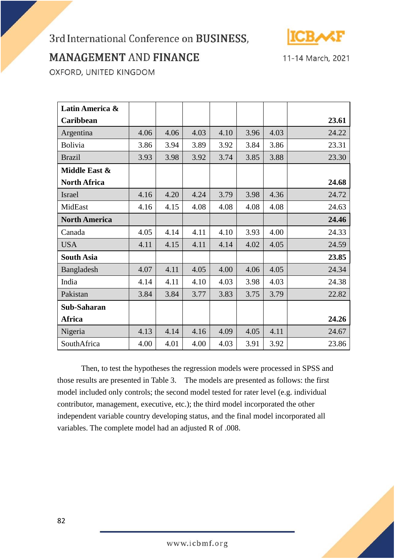

### **MANAGEMENT AND FINANCE**

11-14 March, 2021

OXFORD, UNITED KINGDOM

| Latin America &      |      |      |      |      |      |      |       |
|----------------------|------|------|------|------|------|------|-------|
| <b>Caribbean</b>     |      |      |      |      |      |      | 23.61 |
| Argentina            | 4.06 | 4.06 | 4.03 | 4.10 | 3.96 | 4.03 | 24.22 |
| Bolivia              | 3.86 | 3.94 | 3.89 | 3.92 | 3.84 | 3.86 | 23.31 |
| <b>Brazil</b>        | 3.93 | 3.98 | 3.92 | 3.74 | 3.85 | 3.88 | 23.30 |
| Middle East &        |      |      |      |      |      |      |       |
| <b>North Africa</b>  |      |      |      |      |      |      | 24.68 |
| <b>Israel</b>        | 4.16 | 4.20 | 4.24 | 3.79 | 3.98 | 4.36 | 24.72 |
| MidEast              | 4.16 | 4.15 | 4.08 | 4.08 | 4.08 | 4.08 | 24.63 |
| <b>North America</b> |      |      |      |      |      |      | 24.46 |
| Canada               | 4.05 | 4.14 | 4.11 | 4.10 | 3.93 | 4.00 | 24.33 |
| <b>USA</b>           | 4.11 | 4.15 | 4.11 | 4.14 | 4.02 | 4.05 | 24.59 |
| <b>South Asia</b>    |      |      |      |      |      |      | 23.85 |
| Bangladesh           | 4.07 | 4.11 | 4.05 | 4.00 | 4.06 | 4.05 | 24.34 |
| India                | 4.14 | 4.11 | 4.10 | 4.03 | 3.98 | 4.03 | 24.38 |
| Pakistan             | 3.84 | 3.84 | 3.77 | 3.83 | 3.75 | 3.79 | 22.82 |
| Sub-Saharan          |      |      |      |      |      |      |       |
| Africa               |      |      |      |      |      |      | 24.26 |
| Nigeria              | 4.13 | 4.14 | 4.16 | 4.09 | 4.05 | 4.11 | 24.67 |
| SouthAfrica          | 4.00 | 4.01 | 4.00 | 4.03 | 3.91 | 3.92 | 23.86 |

Then, to test the hypotheses the regression models were processed in SPSS and those results are presented in Table 3. The models are presented as follows: the first model included only controls; the second model tested for rater level (e.g. individual contributor, management, executive, etc.); the third model incorporated the other independent variable country developing status, and the final model incorporated all variables. The complete model had an adjusted R of .008.

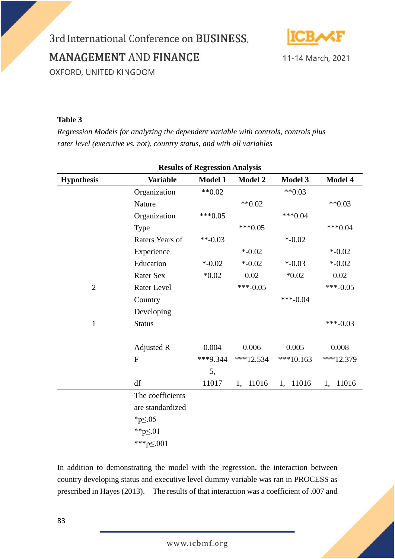**MANAGEMENT AND FINANCE** 



11-14 March, 2021

OXFORD, UNITED KINGDOM

#### **Table 3**

*Regression Models for analyzing the dependent variable with controls, controls plus rater level (executive vs. not), country status, and with all variables*

| <b>Results of Regression Analysis</b> |                    |                |             |                |             |  |  |  |
|---------------------------------------|--------------------|----------------|-------------|----------------|-------------|--|--|--|
| <b>Hypothesis</b>                     | <b>Variable</b>    | <b>Model 1</b> | Model 2     | <b>Model 3</b> | Model 4     |  |  |  |
|                                       | Organization       | $**0.02$       |             | $**0.03$       |             |  |  |  |
|                                       | Nature             |                | $**0.02$    |                | $**0.03$    |  |  |  |
|                                       | Organization       | $***0.05$      |             | $***0.04$      |             |  |  |  |
|                                       | Type               |                | $***0.05$   |                | $***0.04$   |  |  |  |
|                                       | Raters Years of    | $**-0.03$      |             | $* -0.02$      |             |  |  |  |
|                                       | Experience         |                | $* -0.02$   |                | $* -0.02$   |  |  |  |
|                                       | Education          | $* -0.02$      | $* -0.02$   | $* -0.03$      | $* -0.02$   |  |  |  |
|                                       | <b>Rater Sex</b>   | $*0.02$        | 0.02        | $*0.02$        | 0.02        |  |  |  |
| $\overline{2}$                        | <b>Rater Level</b> |                | $***-0.05$  |                | $***-0.05$  |  |  |  |
|                                       | Country            |                |             | $***-0.04$     |             |  |  |  |
|                                       | Developing         |                |             |                |             |  |  |  |
| $\mathbf{1}$                          | <b>Status</b>      |                |             |                | $***-0.03$  |  |  |  |
|                                       | <b>Adjusted R</b>  | 0.004          | 0.006       | 0.005          | 0.008       |  |  |  |
|                                       | ${\bf F}$          | $***9.344$     | $***12.534$ | $***10.163$    | ***12.379   |  |  |  |
|                                       |                    | 5,             |             |                |             |  |  |  |
|                                       | df                 | 11017          | 11016<br>1, | 11016<br>1,    | 11016<br>1, |  |  |  |
|                                       | The coefficients   |                |             |                |             |  |  |  |
|                                       | are standardized   |                |             |                |             |  |  |  |
|                                       | $*$ p≤.05          |                |             |                |             |  |  |  |
|                                       | **p $\leq$ .01     |                |             |                |             |  |  |  |
|                                       | ***p $\leq$ .001   |                |             |                |             |  |  |  |

In addition to demonstrating the model with the regression, the interaction between country developing status and executive level dummy variable was ran in PROCESS as prescribed in Hayes (2013). The results of that interaction was a coefficient of .007 and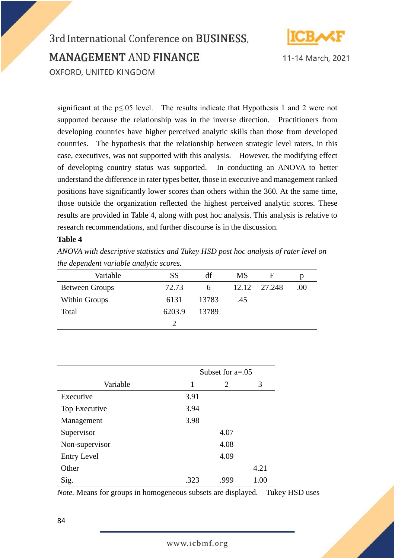

11-14 March, 2021

significant at the p≤.05 level. The results indicate that Hypothesis 1 and 2 were not supported because the relationship was in the inverse direction. Practitioners from developing countries have higher perceived analytic skills than those from developed countries. The hypothesis that the relationship between strategic level raters, in this case, executives, was not supported with this analysis. However, the modifying effect of developing country status was supported. In conducting an ANOVA to better understand the difference in rater types better, those in executive and management ranked positions have significantly lower scores than others within the 360. At the same time, those outside the organization reflected the highest perceived analytic scores. These results are provided in Table 4, along with post hoc analysis. This analysis is relative to research recommendations, and further discourse is in the discussion.

#### **Table 4**

*ANOVA with descriptive statistics and Tukey HSD post hoc analysis of rater level on the dependent variable analytic scores.*

| Variable              | <b>SS</b> | df    | MS  | F            | р   |
|-----------------------|-----------|-------|-----|--------------|-----|
| <b>Between Groups</b> | 72.73     | 6     |     | 12.12 27.248 | .00 |
| Within Groups         | 6131      | 13783 | .45 |              |     |
| Total                 | 6203.9    | 13789 |     |              |     |
|                       |           |       |     |              |     |

|                    | Subset for $a = .05$ |      |      |  |  |  |  |
|--------------------|----------------------|------|------|--|--|--|--|
| Variable           | 1                    | 2    | 3    |  |  |  |  |
| Executive          | 3.91                 |      |      |  |  |  |  |
| Top Executive      | 3.94                 |      |      |  |  |  |  |
| Management         | 3.98                 |      |      |  |  |  |  |
| Supervisor         |                      | 4.07 |      |  |  |  |  |
| Non-supervisor     |                      | 4.08 |      |  |  |  |  |
| <b>Entry Level</b> |                      | 4.09 |      |  |  |  |  |
| Other              |                      |      | 4.21 |  |  |  |  |
| Sig.               | .323                 | .999 | 1.00 |  |  |  |  |

*Note.* Means for groups in homogeneous subsets are displayed. Tukey HSD uses

84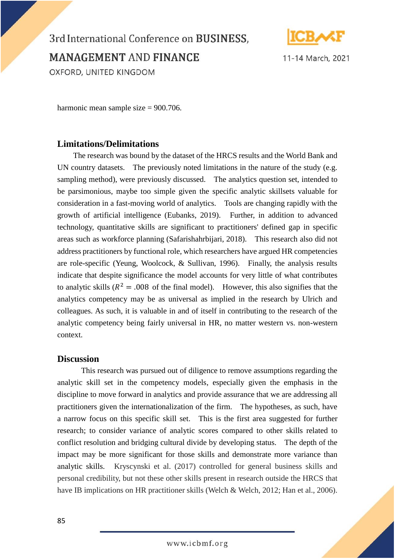

11-14 March, 2021

harmonic mean sample size = 900.706.

#### **Limitations/Delimitations**

The research was bound by the dataset of the HRCS results and the World Bank and UN country datasets. The previously noted limitations in the nature of the study (e.g. sampling method), were previously discussed. The analytics question set, intended to be parsimonious, maybe too simple given the specific analytic skillsets valuable for consideration in a fast-moving world of analytics. Tools are changing rapidly with the growth of artificial intelligence (Eubanks, 2019). Further, in addition to advanced technology, quantitative skills are significant to practitioners' defined gap in specific areas such as workforce planning (Safarishahrbijari, 2018). This research also did not address practitioners by functional role, which researchers have argued HR competencies are role-specific (Yeung, Woolcock, & Sullivan, 1996). Finally, the analysis results indicate that despite significance the model accounts for very little of what contributes to analytic skills ( $R^2 = .008$  of the final model). However, this also signifies that the analytics competency may be as universal as implied in the research by Ulrich and colleagues. As such, it is valuable in and of itself in contributing to the research of the analytic competency being fairly universal in HR, no matter western vs. non-western context.

#### **Discussion**

This research was pursued out of diligence to remove assumptions regarding the analytic skill set in the competency models, especially given the emphasis in the discipline to move forward in analytics and provide assurance that we are addressing all practitioners given the internationalization of the firm. The hypotheses, as such, have a narrow focus on this specific skill set. This is the first area suggested for further research; to consider variance of analytic scores compared to other skills related to conflict resolution and bridging cultural divide by developing status. The depth of the impact may be more significant for those skills and demonstrate more variance than analytic skills. Kryscynski et al. (2017) controlled for general business skills and personal credibility, but not these other skills present in research outside the HRCS that have IB implications on HR practitioner skills (Welch & Welch, 2012; Han et al., 2006).

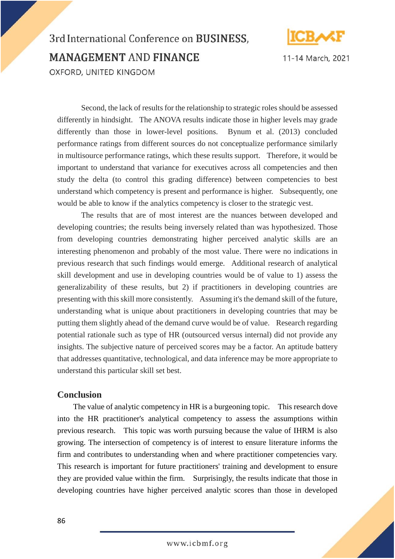

11-14 March, 2021

# 3rd International Conference on BUSINESS, **MANAGEMENT AND FINANCE** OXFORD, UNITED KINGDOM

Second, the lack of results for the relationship to strategic roles should be assessed differently in hindsight. The ANOVA results indicate those in higher levels may grade differently than those in lower-level positions. Bynum et al. (2013) concluded performance ratings from different sources do not conceptualize performance similarly in multisource performance ratings, which these results support. Therefore, it would be important to understand that variance for executives across all competencies and then study the delta (to control this grading difference) between competencies to best understand which competency is present and performance is higher. Subsequently, one would be able to know if the analytics competency is closer to the strategic vest.

The results that are of most interest are the nuances between developed and developing countries; the results being inversely related than was hypothesized. Those from developing countries demonstrating higher perceived analytic skills are an interesting phenomenon and probably of the most value. There were no indications in previous research that such findings would emerge. Additional research of analytical skill development and use in developing countries would be of value to 1) assess the generalizability of these results, but 2) if practitioners in developing countries are presenting with this skill more consistently. Assuming it's the demand skill of the future, understanding what is unique about practitioners in developing countries that may be putting them slightly ahead of the demand curve would be of value. Research regarding potential rationale such as type of HR (outsourced versus internal) did not provide any insights. The subjective nature of perceived scores may be a factor. An aptitude battery that addresses quantitative, technological, and data inference may be more appropriate to understand this particular skill set best.

#### **Conclusion**

The value of analytic competency in HR is a burgeoning topic. This research dove into the HR practitioner's analytical competency to assess the assumptions within previous research. This topic was worth pursuing because the value of IHRM is also growing. The intersection of competency is of interest to ensure literature informs the firm and contributes to understanding when and where practitioner competencies vary. This research is important for future practitioners' training and development to ensure they are provided value within the firm. Surprisingly, the results indicate that those in developing countries have higher perceived analytic scores than those in developed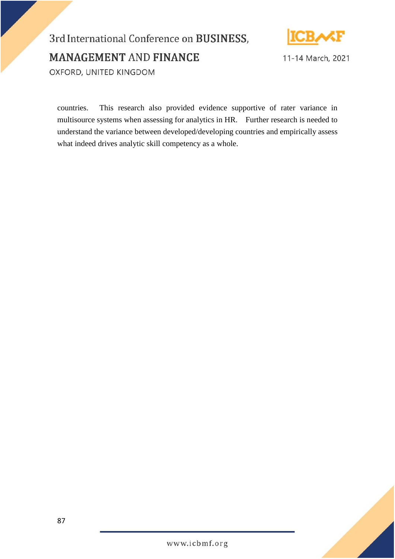

11-14 March, 2021

countries. This research also provided evidence supportive of rater variance in multisource systems when assessing for analytics in HR. Further research is needed to understand the variance between developed/developing countries and empirically assess what indeed drives analytic skill competency as a whole.

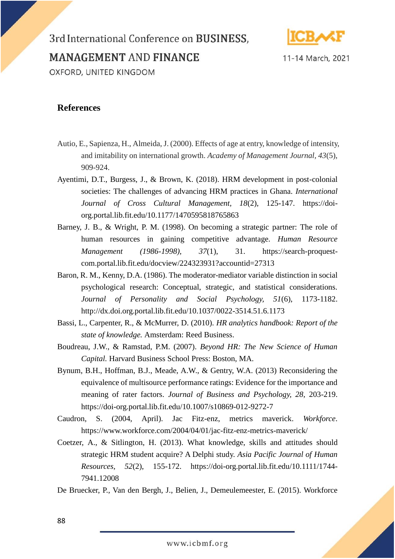

### **MANAGEMENT AND FINANCE**

11-14 March, 2021

OXFORD, UNITED KINGDOM

#### **References**

- Autio, E., Sapienza, H., Almeida, J. (2000). Effects of age at entry, knowledge of intensity, and imitability on international growth. *Academy of Management Journal, 43*(5), 909-924.
- Ayentimi, D.T., Burgess, J., & Brown, K. (2018). HRM development in post-colonial societies: The challenges of advancing HRM practices in Ghana. *International Journal of Cross Cultural Management, 18*(2), 125-147. https://doiorg.portal.lib.fit.edu/10.1177/1470595818765863
- Barney, J. B., & Wright, P. M. (1998). On becoming a strategic partner: The role of human resources in gaining competitive advantage. *Human Resource Management (1986-1998), 37*(1), 31. https://search-proquestcom.portal.lib.fit.edu/docview/224323931?accountid=27313
- Baron, R. M., Kenny, D.A. (1986). The moderator-mediator variable distinction in social psychological research: Conceptual, strategic, and statistical considerations. *Journal of Personality and Social Psychology, 51*(6), 1173-1182. http://dx.doi.org.portal.lib.fit.edu/10.1037/0022-3514.51.6.1173
- Bassi, L., Carpenter, R., & McMurrer, D. (2010). *HR analytics handbook: Report of the state of knowledge.* Amsterdam: Reed Business.
- Boudreau, J.W., & Ramstad, P.M. (2007). *Beyond HR: The New Science of Human Capital.* Harvard Business School Press: Boston, MA.
- Bynum, B.H., Hoffman, B.J., Meade, A.W., & Gentry, W.A. (2013) Reconsidering the equivalence of multisource performance ratings: Evidence for the importance and meaning of rater factors. *Journal of Business and Psychology, 28*, 203-219. https://doi-org.portal.lib.fit.edu/10.1007/s10869-012-9272-7
- Caudron, S. (2004, April). Jac Fitz-enz, metrics maverick. *Workforce*. https://www.workforce.com/2004/04/01/jac-fitz-enz-metrics-maverick/
- Coetzer, A., & Sitlington, H. (2013). What knowledge, skills and attitudes should strategic HRM student acquire? A Delphi study. *Asia Pacific Journal of Human Resources, 52*(2), 155-172. https://doi-org.portal.lib.fit.edu/10.1111/1744- 7941.12008

De Bruecker, P., Van den Bergh, J., Belien, J., Demeulemeester, E. (2015). Workforce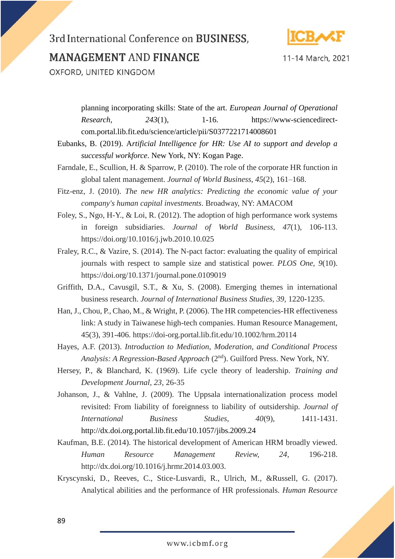

11-14 March, 2021

**MANAGEMENT AND FINANCE** 

OXFORD, UNITED KINGDOM

planning incorporating skills: State of the art. *European Journal of Operational Research*, 243(1), 1-16. https://www-sciencedirectcom.portal.lib.fit.edu/science/article/pii/S0377221714008601

Eubanks, B. (2019). A*rtificial Intelligence for HR: Use AI to support and develop a successful workforce*. New York, NY: Kogan Page.

- Farndale, E., Scullion, H. & Sparrow, P. (2010). The role of the corporate HR function in global talent management. *Journal of World Business, 45*(2), 161–168.
- Fitz-enz, J. (2010). *The new HR analytics: Predicting the economic value of your company's human capital investments*. Broadway, NY: AMACOM
- Foley, S., Ngo, H-Y., & Loi, R. (2012). The adoption of high performance work systems in foreign subsidiaries. *Journal of World Business, 47*(1), 106-113. https://doi.org/10.1016/j.jwb.2010.10.025

Fraley, R.C., & Vazire, S. (2014). The N-pact factor: evaluating the quality of empirical journals with respect to sample size and statistical power. *PLOS One, 9*(10). https://doi.org/10.1371/journal.pone.0109019

- Griffith, D.A., Cavusgil, S.T., & Xu, S. (2008). Emerging themes in international business research. *Journal of International Business Studies, 39,* 1220-1235.
- Han, J., Chou, P., Chao, M., & Wright, P. (2006). The HR competencies-HR effectiveness link: A study in Taiwanese high-tech companies. Human Resource Management, 45(3), 391-406. https://doi-org.portal.lib.fit.edu/10.1002/hrm.20114
- Hayes, A.F. (2013). *Introduction to Mediation, Moderation, and Conditional Process Analysis: A Regression-Based Approach* (2nd). Guilford Press. New York, NY.
- Hersey, P., & Blanchard, K. (1969). Life cycle theory of leadership. *Training and Development Journal, 23*, 26-35
- Johanson, J., & Vahlne, J. (2009). The Uppsala internationalization process model revisited: From liability of foreignness to liability of outsidership. *Journal of International Business Studies, 40*(9), 1411-1431. http://dx.doi.org.portal.lib.fit.edu/10.1057/jibs.2009.24
- Kaufman, B.E. (2014). The historical development of American HRM broadly viewed. *Human Resource Management Review, 24*, 196-218. http://dx.doi.org/10.1016/j.hrmr.2014.03.003.
- Kryscynski, D., Reeves, C., Stice-Lusvardi, R., Ulrich, M., &Russell, G. (2017). Analytical abilities and the performance of HR professionals. *Human Resource*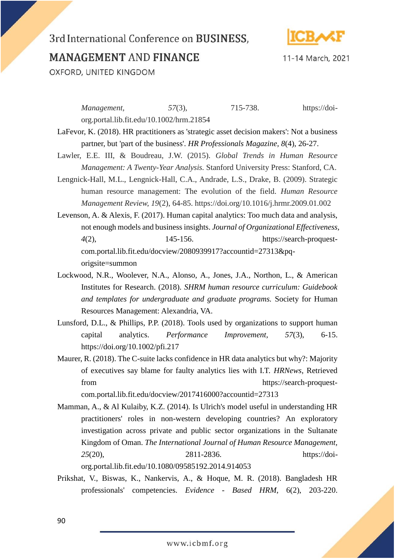

11-14 March, 2021

**MANAGEMENT AND FINANCE** 

OXFORD, UNITED KINGDOM

*Management, 57*(3), 715-738. https://doiorg.portal.lib.fit.edu/10.1002/hrm.21854

LaFevor, K. (2018). HR practitioners as 'strategic asset decision makers': Not a business partner, but 'part of the business'. *HR Professionals Magazine, 8*(4), 26-27.

Lawler, E.E. III, & Boudreau, J.W. (2015). *Global Trends in Human Resource Management: A Twenty-Year Analysis.* Stanford University Press: Stanford, CA.

Lengnick-Hall, M.L., Lengnick-Hall, C.A., Andrade, L.S., Drake, B. (2009). Strategic human resource management: The evolution of the field*. Human Resource Management Review, 19*(2), 64-85. https://doi.org/10.1016/j.hrmr.2009.01.002

Levenson, A. & Alexis, F. (2017). Human capital analytics: Too much data and analysis, not enough models and business insights. *Journal of Organizational Effectiveness, 4*(2), 145-156. [https://search-proquest](https://search-proquest-com.portal.lib.fit.edu/docview/2080939917?accountid=27313&pq-origsite=summon)[com.portal.lib.fit.edu/docview/2080939917?accountid=27313&pq](https://search-proquest-com.portal.lib.fit.edu/docview/2080939917?accountid=27313&pq-origsite=summon)[origsite=summon](https://search-proquest-com.portal.lib.fit.edu/docview/2080939917?accountid=27313&pq-origsite=summon)

Lockwood, N.R., Woolever, N.A., Alonso, A., Jones, J.A., Northon, L., & American Institutes for Research. (2018). *SHRM human resource curriculum: Guidebook and templates for undergraduate and graduate programs.* Society for Human Resources Management: Alexandria, VA.

Lunsford, D.L., & Phillips, P.P. (2018). Tools used by organizations to support human capital analytics. *Performance Improvement, 57*(3), 6-15. https://doi.org/10.1002/pfi.217

Maurer, R. (2018). The C-suite lacks confidence in HR data analytics but why?: Majority of executives say blame for faulty analytics lies with I.T. *HRNews*, Retrieved from https://search-proquest-

com.portal.lib.fit.edu/docview/2017416000?accountid=27313

Mamman, A., & Al Kulaiby, K.Z. (2014). Is Ulrich's model useful in understanding HR practitioners' roles in non-western developing countries? An exploratory investigation across private and public sector organizations in the Sultanate Kingdom of Oman. *The International Journal of Human Resource Management, 25*(20), 2811-2836. https://doiorg.portal.lib.fit.edu/10.1080/09585192.2014.914053

Prikshat, V., Biswas, K., Nankervis, A., & Hoque, M. R. (2018). Bangladesh HR professionals' competencies. *Evidence - Based HRM*, 6(2), 203-220.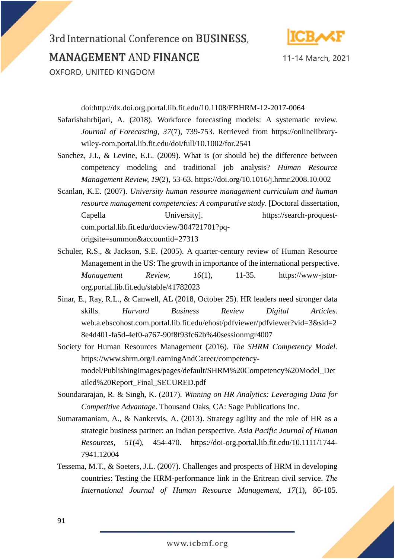

11-14 March, 2021

**MANAGEMENT AND FINANCE** 

OXFORD, UNITED KINGDOM

doi:http://dx.doi.org.portal.lib.fit.edu/10.1108/EBHRM-12-2017-0064

Safarishahrbijari, A. (2018). Workforce forecasting models: A systematic review. *Journal of Forecasting, 37*(7), 739-753. Retrieved from https://onlinelibrarywiley-com.portal.lib.fit.edu/doi/full/10.1002/for.2541

Sanchez, J.I., & Levine, E.L. (2009). What is (or should be) the difference between competency modeling and traditional job analysis? *Human Resource Management Review, 19*(2), 53-63. https://doi.org/10.1016/j.hrmr.2008.10.002

Scanlan, K.E. (2007). *University human resource management curriculum and human resource management competencies: A comparative study*. [Doctoral dissertation, Capella University]. https://search-proquestcom.portal.lib.fit.edu/docview/304721701?pqorigsite=summon&accountid=27313

- Schuler, R.S., & Jackson, S.E. (2005). A quarter-century review of Human Resource Management in the US: The growth in importance of the international perspective. *Management Review, 16*(1), 11-35. https://www-jstororg.portal.lib.fit.edu/stable/41782023
- Sinar, E., Ray, R.L., & Canwell, AL (2018, October 25). HR leaders need stronger data skills. *Harvard Business Review Digital Articles*. web.a.ebscohost.com.portal.lib.fit.edu/ehost/pdfviewer/pdfviewer?vid=3&sid=2 8e4d401-fa5d-4ef0-a767-90f8f93fc62b%40sessionmgr4007
- Society for Human Resources Management (2016). *The SHRM Competency Model.*  https://www.shrm.org/LearningAndCareer/competencymodel/PublishingImages/pages/default/SHRM%20Competency%20Model\_Det ailed%20Report\_Final\_SECURED.pdf
- Soundararajan, R. & Singh, K. (2017). *Winning on HR Analytics: Leveraging Data for Competitive Advantage*. Thousand Oaks, CA: Sage Publications Inc.
- Sumaramaniam, A., & Nankervis, A. (2013). Strategy agility and the role of HR as a strategic business partner: an Indian perspective. *Asia Pacific Journal of Human Resources, 51*(4), 454-470. https://doi-org.portal.lib.fit.edu/10.1111/1744- 7941.12004
- Tessema, M.T., & Soeters, J.L. (2007). Challenges and prospects of HRM in developing countries: Testing the HRM-performance link in the Eritrean civil service. *The International Journal of Human Resource Management, 17*(1), 86-105.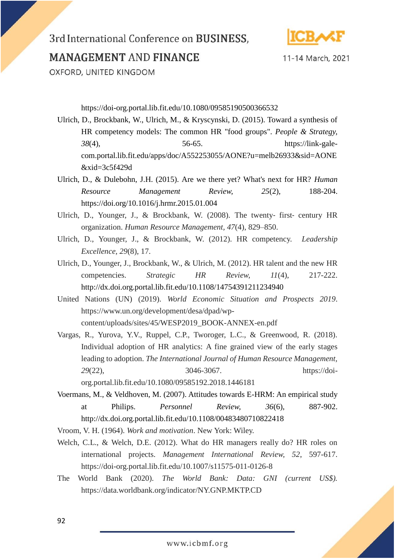

11-14 March, 2021

**MANAGEMENT AND FINANCE** 

OXFORD, UNITED KINGDOM

https://doi-org.portal.lib.fit.edu/10.1080/09585190500366532

Ulrich, D., Brockbank, W., Ulrich, M., & Kryscynski, D. (2015). Toward a synthesis of HR competency models: The common HR "food groups". *People & Strategy, 38*(4), 56-65. https://link-galecom.portal.lib.fit.edu/apps/doc/A552253055/AONE?u=melb26933&sid=AONE &xid=3c5f429d

Ulrich, D., & Dulebohn, J.H. (2015). Are we there yet? What's next for HR? *Human Resource Management Review, 25*(2), 188-204. https://doi.org/10.1016/j.hrmr.2015.01.004

Ulrich, D., Younger, J., & Brockbank, W. (2008). The twenty‐ first‐ century HR organization. *Human Resource Management, 47*(4), 829–850.

- Ulrich, D., Younger, J., & Brockbank, W. (2012). HR competency. *Leadership Excellence, 29*(8), 17.
- Ulrich, D., Younger, J., Brockbank, W., & Ulrich, M. (2012). HR talent and the new HR competencies. *Strategic HR Review, 11*(4), 217-222. http://dx.doi.org.portal.lib.fit.edu/10.1108/14754391211234940

United Nations (UN) (2019). *World Economic Situation and Prospects 2019*. https://www.un.org/development/desa/dpad/wpcontent/uploads/sites/45/WESP2019\_BOOK-ANNEX-en.pdf

Vargas, R., Yurova, Y.V., Ruppel, C.P., Tworoger, L.C., & Greenwood, R. (2018). Individual adoption of HR analytics: A fine grained view of the early stages leading to adoption. *The International Journal of Human Resource Management, 29*(22), 3046-3067. https://doi-

org.portal.lib.fit.edu/10.1080/09585192.2018.1446181

Voermans, M., & Veldhoven, M. (2007). Attitudes towards E-HRM: An empirical study at Philips. *Personnel Review, 36*(6), 887-902. http://dx.doi.org.portal.lib.fit.edu/10.1108/00483480710822418

Vroom, V. H. (1964). *Work and motivation*. New York: Wiley.

- Welch, C.L., & Welch, D.E. (2012). What do HR managers really do? HR roles on international projects. *Management International Review, 52*, 597-617. https://doi-org.portal.lib.fit.edu/10.1007/s11575-011-0126-8
- The World Bank (2020). *The World Bank: Data: GNI (current US\$).* https://data.worldbank.org/indicator/NY.GNP.MKTP.CD